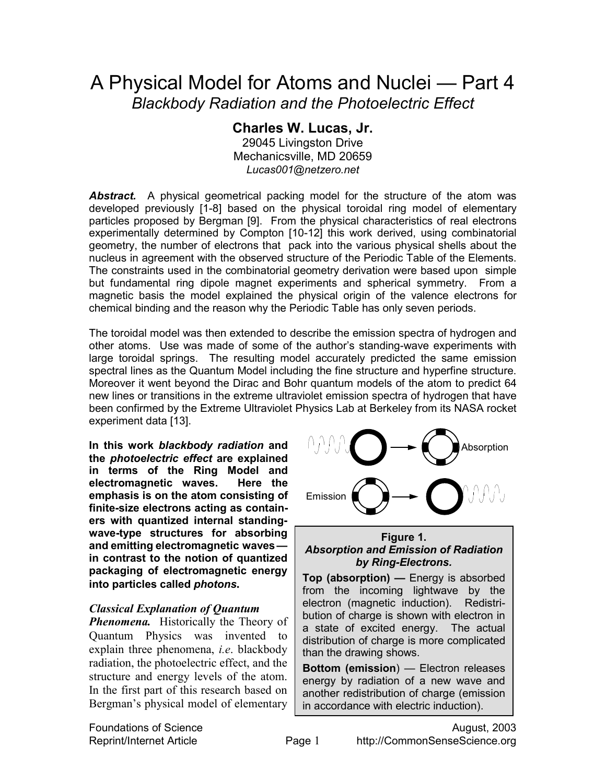# A Physical Model for Atoms and Nuclei — Part 4 *Blackbody Radiation and the Photoelectric Effect*

# **Charles W. Lucas, Jr.**

29045 Livingston Drive Mechanicsville, MD 20659 *Lucas001@netzero.net* 

*Abstract.*A physical geometrical packing model for the structure of the atom was developed previously [1-8] based on the physical toroidal ring model of elementary particles proposed by Bergman [9]. From the physical characteristics of real electrons experimentally determined by Compton [10-12] this work derived, using combinatorial geometry, the number of electrons that pack into the various physical shells about the nucleus in agreement with the observed structure of the Periodic Table of the Elements. The constraints used in the combinatorial geometry derivation were based upon simple but fundamental ring dipole magnet experiments and spherical symmetry. From a magnetic basis the model explained the physical origin of the valence electrons for chemical binding and the reason why the Periodic Table has only seven periods.

The toroidal model was then extended to describe the emission spectra of hydrogen and other atoms. Use was made of some of the author's standing-wave experiments with large toroidal springs. The resulting model accurately predicted the same emission spectral lines as the Quantum Model including the fine structure and hyperfine structure. Moreover it went beyond the Dirac and Bohr quantum models of the atom to predict 64 new lines or transitions in the extreme ultraviolet emission spectra of hydrogen that have been confirmed by the Extreme Ultraviolet Physics Lab at Berkeley from its NASA rocket experiment data [13].

**In this work** *blackbody radiation* **and the** *photoelectric effect* **are explained in terms of the Ring Model and electromagnetic waves. Here the emphasis is on the atom consisting of finite-size electrons acting as containers with quantized internal standingwave-type structures for absorbing and emitting electromagnetic waves in contrast to the notion of quantized packaging of electromagnetic energy into particles called** *photons***.** 

## *Classical Explanation of Quantum*

*Phenomena.* Historically the Theory of Quantum Physics was invented to explain three phenomena, *i.e*. blackbody radiation, the photoelectric effect, and the structure and energy levels of the atom. In the first part of this research based on Bergman's physical model of elementary



#### **Figure 1.**  *Absorption and Emission of Radiation by Ring-Electrons.*

**Top (absorption) —** Energy is absorbed from the incoming lightwave by the electron (magnetic induction). Redistribution of charge is shown with electron in a state of excited energy. The actual distribution of charge is more complicated than the drawing shows.

**Bottom (emission**) — Electron releases energy by radiation of a new wave and another redistribution of charge (emission in accordance with electric induction).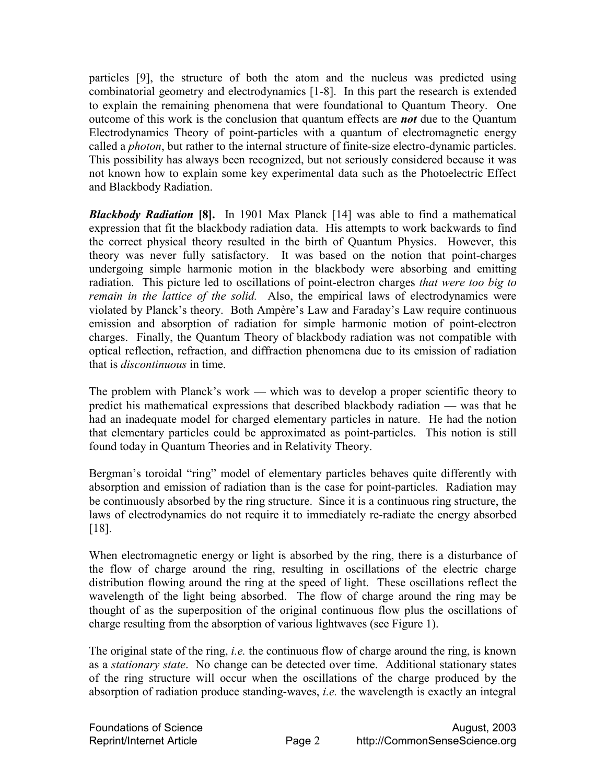particles [9], the structure of both the atom and the nucleus was predicted using combinatorial geometry and electrodynamics [1-8]. In this part the research is extended to explain the remaining phenomena that were foundational to Quantum Theory. One outcome of this work is the conclusion that quantum effects are *not* due to the Quantum Electrodynamics Theory of point-particles with a quantum of electromagnetic energy called a *photon*, but rather to the internal structure of finite-size electro-dynamic particles. This possibility has always been recognized, but not seriously considered because it was not known how to explain some key experimental data such as the Photoelectric Effect and Blackbody Radiation.

*Blackbody Radiation* **[8].** In 1901 Max Planck [14] was able to find a mathematical expression that fit the blackbody radiation data. His attempts to work backwards to find the correct physical theory resulted in the birth of Quantum Physics. However, this theory was never fully satisfactory. It was based on the notion that point-charges undergoing simple harmonic motion in the blackbody were absorbing and emitting radiation. This picture led to oscillations of point-electron charges *that were too big to remain in the lattice of the solid.* Also, the empirical laws of electrodynamics were violated by Planck's theory. Both Ampère's Law and Faraday's Law require continuous emission and absorption of radiation for simple harmonic motion of point-electron charges. Finally, the Quantum Theory of blackbody radiation was not compatible with optical reflection, refraction, and diffraction phenomena due to its emission of radiation that is *discontinuous* in time.

The problem with Planck's work — which was to develop a proper scientific theory to predict his mathematical expressions that described blackbody radiation — was that he had an inadequate model for charged elementary particles in nature. He had the notion that elementary particles could be approximated as point-particles. This notion is still found today in Quantum Theories and in Relativity Theory.

Bergman's toroidal "ring" model of elementary particles behaves quite differently with absorption and emission of radiation than is the case for point-particles. Radiation may be continuously absorbed by the ring structure. Since it is a continuous ring structure, the laws of electrodynamics do not require it to immediately re-radiate the energy absorbed [18].

When electromagnetic energy or light is absorbed by the ring, there is a disturbance of the flow of charge around the ring, resulting in oscillations of the electric charge distribution flowing around the ring at the speed of light. These oscillations reflect the wavelength of the light being absorbed. The flow of charge around the ring may be thought of as the superposition of the original continuous flow plus the oscillations of charge resulting from the absorption of various lightwaves (see Figure 1).

The original state of the ring, *i.e.* the continuous flow of charge around the ring, is known as a *stationary state*. No change can be detected over time. Additional stationary states of the ring structure will occur when the oscillations of the charge produced by the absorption of radiation produce standing-waves, *i.e.* the wavelength is exactly an integral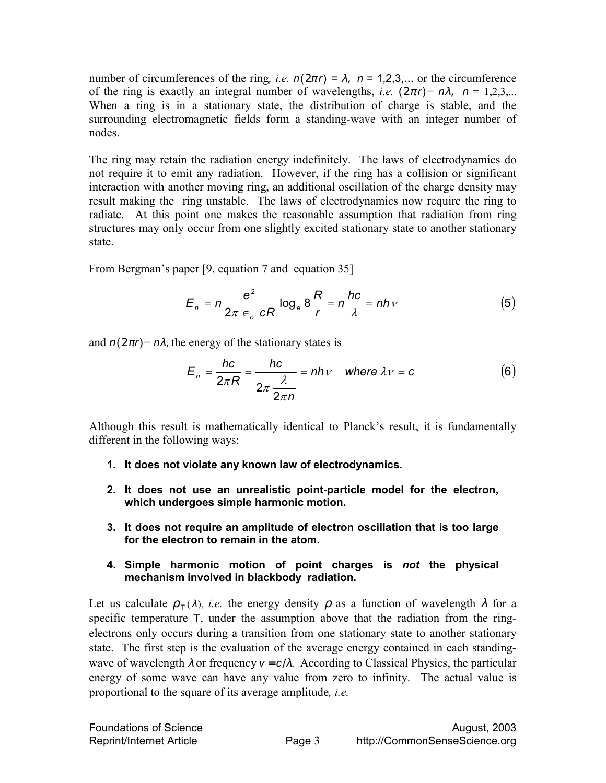number of circumferences of the ring, *i.e.*  $n(2\pi r) = \lambda$ ,  $n = 1,2,3,...$  or the circumference of the ring is exactly an integral number of wavelengths, *i.e.*  $(2\pi r) = n\lambda$ ,  $n = 1,2,3,...$ When a ring is in a stationary state, the distribution of charge is stable, and the surrounding electromagnetic fields form a standing-wave with an integer number of nodes.

The ring may retain the radiation energy indefinitely. The laws of electrodynamics do not require it to emit any radiation. However, if the ring has a collision or significant interaction with another moving ring, an additional oscillation of the charge density may result making the ring unstable. The laws of electrodynamics now require the ring to radiate. At this point one makes the reasonable assumption that radiation from ring structures may only occur from one slightly excited stationary state to another stationary state.

From Bergman's paper [9, equation 7 and equation 35]

$$
E_n = n \frac{e^2}{2\pi \epsilon_o cR} \log_e 8\frac{R}{r} = n \frac{hc}{\lambda} = nhv
$$
 (5)

and  $n(2\pi r) = n\lambda$ , the energy of the stationary states is

$$
E_n = \frac{hc}{2\pi R} = \frac{hc}{2\pi \frac{\lambda}{2\pi n}} = nhv \quad \text{where } \lambda v = c \tag{6}
$$

Although this result is mathematically identical to Planck's result, it is fundamentally different in the following ways:

- **1. It does not violate any known law of electrodynamics.**
- **2. It does not use an unrealistic point-particle model for the electron, which undergoes simple harmonic motion.**
- **3. It does not require an amplitude of electron oscillation that is too large for the electron to remain in the atom.**
- **4. Simple harmonic motion of point charges is** *not* **the physical mechanism involved in blackbody radiation.**

Let us calculate  $\rho_{\tau}(\lambda)$ , *i.e.* the energy density  $\rho$  as a function of wavelength  $\lambda$  for a specific temperature T, under the assumption above that the radiation from the ringelectrons only occurs during a transition from one stationary state to another stationary state. The first step is the evaluation of the average energy contained in each standingwave of wavelength  $\lambda$  or frequency  $v = c/\lambda$ . According to Classical Physics, the particular energy of some wave can have any value from zero to infinity. The actual value is proportional to the square of its average amplitude*, i.e.*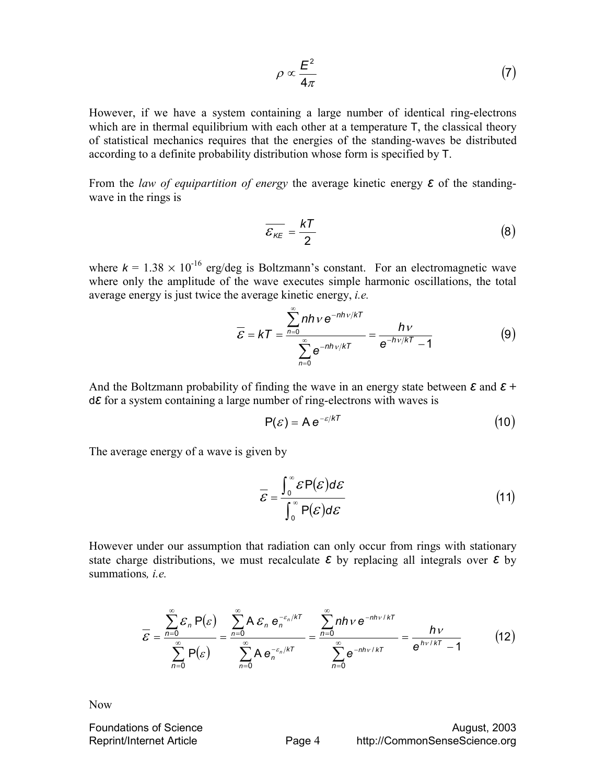$$
\rho \propto \frac{E^2}{4\pi} \tag{7}
$$

However, if we have a system containing a large number of identical ring-electrons which are in thermal equilibrium with each other at a temperature  $T$ , the classical theory of statistical mechanics requires that the energies of the standing-waves be distributed according to a definite probability distribution whose form is specified by T.

From the *law of equipartition of energy* the average kinetic energy *ε* of the standingwave in the rings is

$$
\overline{\mathcal{E}_{KE}} = \frac{kT}{2} \tag{8}
$$

where  $k = 1.38 \times 10^{-16}$  erg/deg is Boltzmann's constant. For an electromagnetic wave where only the amplitude of the wave executes simple harmonic oscillations, the total average energy is just twice the average kinetic energy, *i.e.* 

$$
\overline{\mathcal{E}} = kT = \frac{\sum_{n=0}^{\infty} nhv e^{-nhv/kT}}{\sum_{n=0}^{\infty} e^{-nhv/kT}} = \frac{hv}{e^{-hv/kT} - 1}
$$
(9)

And the Boltzmann probability of finding the wave in an energy state between *ε* and *ε* **+**  d*ε* for a system containing a large number of ring-electrons with waves is

$$
P(\mathcal{E}) = Ae^{-\mathcal{E}/kT}
$$
 (10)

The average energy of a wave is given by

$$
\overline{\mathcal{E}} = \frac{\int_0^\infty \mathcal{E} P(\mathcal{E}) d\mathcal{E}}{\int_0^\infty P(\mathcal{E}) d\mathcal{E}}
$$
(11)

However under our assumption that radiation can only occur from rings with stationary state charge distributions, we must recalculate *ε* by replacing all integrals over *ε* by summations*, i.e.* 

$$
\overline{\mathcal{E}} = \frac{\sum_{n=0}^{\infty} \mathcal{E}_n P(\varepsilon)}{\sum_{n=0}^{\infty} P(\varepsilon)} = \frac{\sum_{n=0}^{\infty} A \, \mathcal{E}_n \, e_n^{-\varepsilon_n/kT}}{\sum_{n=0}^{\infty} A \, e_n^{-\varepsilon_n/kT}} = \frac{\sum_{n=0}^{\infty} nh \, v \, e^{-nh \, v/kT}}{\sum_{n=0}^{\infty} e^{-nh \, v/kT}} = \frac{hv}{e^{hv/kT} - 1}
$$
(12)

Now

**Foundations of Science August, 2003** August, 2003 Reprint/Internet Article **Page 4** http://CommonSenseScience.org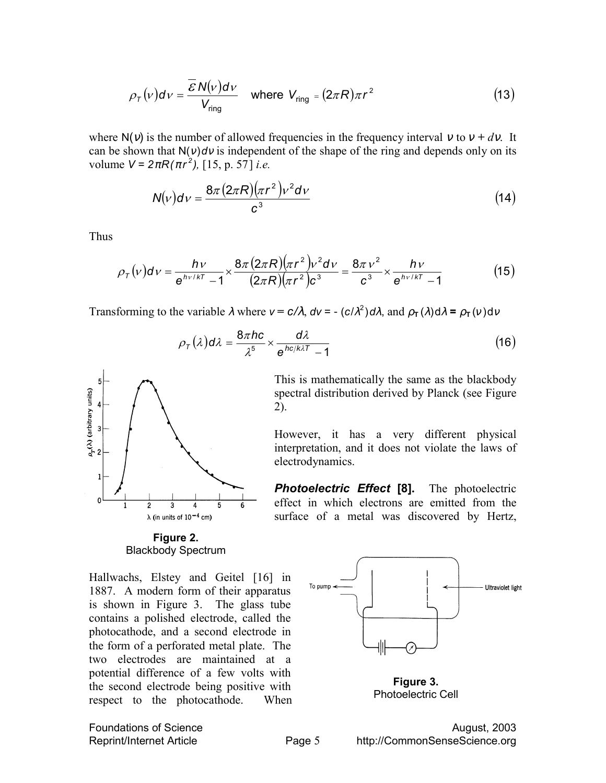$$
\rho_{\tau}(v)d\nu = \frac{\overline{\mathcal{E}}\,N(v)d\nu}{V_{\text{ring}}} \quad \text{where } V_{\text{ring}} = (2\pi R)\pi r^2 \tag{13}
$$

where  $N(v)$  is the number of allowed frequencies in the frequency interval v to  $v + dv$ . It can be shown that  $N(v)dv$  is independent of the shape of the ring and depends only on its volume  $V = 2\pi R(\pi r^2)$ , [15, p. 57] *i.e.* 

$$
N(v)dv = \frac{8\pi (2\pi R)(\pi r^2)v^2dv}{c^3}
$$
\n(14)

Thus

$$
\rho_{\tau}(v)d\nu = \frac{hv}{e^{hv/kT} - 1} \times \frac{8\pi (2\pi R)(\pi r^2)v^2dv}{(2\pi R)(\pi r^2)c^3} = \frac{8\pi v^2}{c^3} \times \frac{hv}{e^{hv/kT} - 1}
$$
(15)

electrodynamics.

Transforming to the variable  $\lambda$  where  $v = c/\lambda$ ,  $dv = -\left(c/\lambda^2\right)d\lambda$ , and  $\rho_\tau(\lambda)d\lambda = \rho_\tau(v)dv$ 

2).

$$
\rho_{\tau}(\lambda) d\lambda = \frac{8\pi hc}{\lambda^5} \times \frac{d\lambda}{e^{hc/k\lambda\tau} - 1}
$$
\n(16)

This is mathematically the same as the blackbody spectral distribution derived by Planck (see Figure

However, it has a very different physical interpretation, and it does not violate the laws of

*Photoelectric Effect* **[8].** The photoelectric effect in which electrons are emitted from the surface of a metal was discovered by Hertz,



**Figure 2.**  Blackbody Spectrum

Hallwachs, Elstey and Geitel [16] in 1887. A modern form of their apparatus is shown in Figure 3. The glass tube contains a polished electrode, called the photocathode, and a second electrode in the form of a perforated metal plate. The two electrodes are maintained at a potential difference of a few volts with the second electrode being positive with respect to the photocathode. When



**Figure 3.**  Photoelectric Cell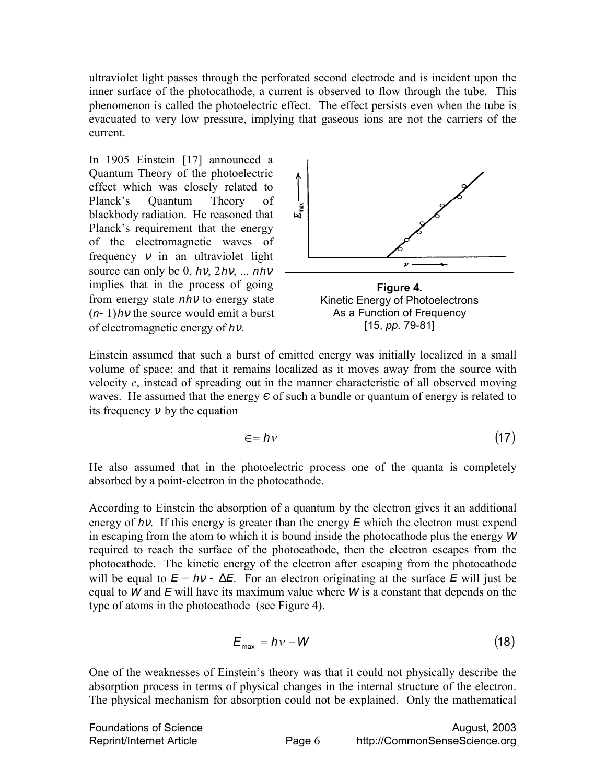ultraviolet light passes through the perforated second electrode and is incident upon the inner surface of the photocathode, a current is observed to flow through the tube. This phenomenon is called the photoelectric effect. The effect persists even when the tube is evacuated to very low pressure, implying that gaseous ions are not the carriers of the current.

In 1905 Einstein [17] announced a Quantum Theory of the photoelectric effect which was closely related to Planck's Quantum Theory of blackbody radiation. He reasoned that Planck's requirement that the energy of the electromagnetic waves of frequency  $v$  in an ultraviolet light source can only be 0, *h*ν, 2*h*ν, ... *nh*<sup>ν</sup> implies that in the process of going from energy state *nh*ν to energy state (*n*-1)*h*ν the source would emit a burst of electromagnetic energy of *h*ν.



**Figure 4.**  Kinetic Energy of Photoelectrons As a Function of Frequency [15, *pp.* 79-81]

Einstein assumed that such a burst of emitted energy was initially localized in a small volume of space; and that it remains localized as it moves away from the source with velocity *c*, instead of spreading out in the manner characteristic of all observed moving waves. He assumed that the energy  $\epsilon$  of such a bundle or quantum of energy is related to its frequency  $v$  by the equation

$$
\epsilon = h \tag{17}
$$

He also assumed that in the photoelectric process one of the quanta is completely absorbed by a point-electron in the photocathode.

According to Einstein the absorption of a quantum by the electron gives it an additional energy of *hy*. If this energy is greater than the energy *E* which the electron must expend in escaping from the atom to which it is bound inside the photocathode plus the energy *W* required to reach the surface of the photocathode, then the electron escapes from the photocathode. The kinetic energy of the electron after escaping from the photocathode will be equal to  $E = hv - \Delta E$ . For an electron originating at the surface *E* will just be equal to *W* and *E* will have its maximum value where *W* is a constant that depends on the type of atoms in the photocathode (see Figure 4).

$$
E_{\text{max}} = h \nu - W \tag{18}
$$

One of the weaknesses of Einstein's theory was that it could not physically describe the absorption process in terms of physical changes in the internal structure of the electron. The physical mechanism for absorption could not be explained. Only the mathematical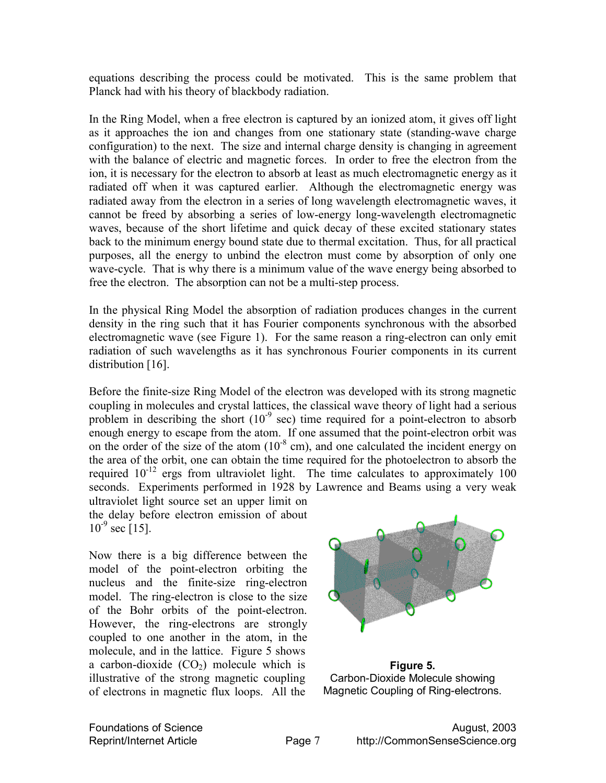equations describing the process could be motivated. This is the same problem that Planck had with his theory of blackbody radiation.

In the Ring Model, when a free electron is captured by an ionized atom, it gives off light as it approaches the ion and changes from one stationary state (standing-wave charge configuration) to the next. The size and internal charge density is changing in agreement with the balance of electric and magnetic forces. In order to free the electron from the ion, it is necessary for the electron to absorb at least as much electromagnetic energy as it radiated off when it was captured earlier. Although the electromagnetic energy was radiated away from the electron in a series of long wavelength electromagnetic waves, it cannot be freed by absorbing a series of low-energy long-wavelength electromagnetic waves, because of the short lifetime and quick decay of these excited stationary states back to the minimum energy bound state due to thermal excitation. Thus, for all practical purposes, all the energy to unbind the electron must come by absorption of only one wave-cycle. That is why there is a minimum value of the wave energy being absorbed to free the electron. The absorption can not be a multi-step process.

In the physical Ring Model the absorption of radiation produces changes in the current density in the ring such that it has Fourier components synchronous with the absorbed electromagnetic wave (see Figure 1). For the same reason a ring-electron can only emit radiation of such wavelengths as it has synchronous Fourier components in its current distribution [16].

Before the finite-size Ring Model of the electron was developed with its strong magnetic coupling in molecules and crystal lattices, the classical wave theory of light had a serious problem in describing the short  $(10^{-9} \text{ sec})$  time required for a point-electron to absorb enough energy to escape from the atom. If one assumed that the point-electron orbit was on the order of the size of the atom  $(10^{-8} \text{ cm})$ , and one calculated the incident energy on the area of the orbit, one can obtain the time required for the photoelectron to absorb the required  $10^{-12}$  ergs from ultraviolet light. The time calculates to approximately 100 seconds. Experiments performed in 1928 by Lawrence and Beams using a very weak

ultraviolet light source set an upper limit on the delay before electron emission of about  $10^{-9}$  sec [15].

Now there is a big difference between the model of the point-electron orbiting the nucleus and the finite-size ring-electron model. The ring-electron is close to the size of the Bohr orbits of the point-electron. However, the ring-electrons are strongly coupled to one another in the atom, in the molecule, and in the lattice. Figure 5 shows a carbon-dioxide  $(CO<sub>2</sub>)$  molecule which is illustrative of the strong magnetic coupling of electrons in magnetic flux loops. All the



**Figure 5.**  Carbon-Dioxide Molecule showing Magnetic Coupling of Ring-electrons.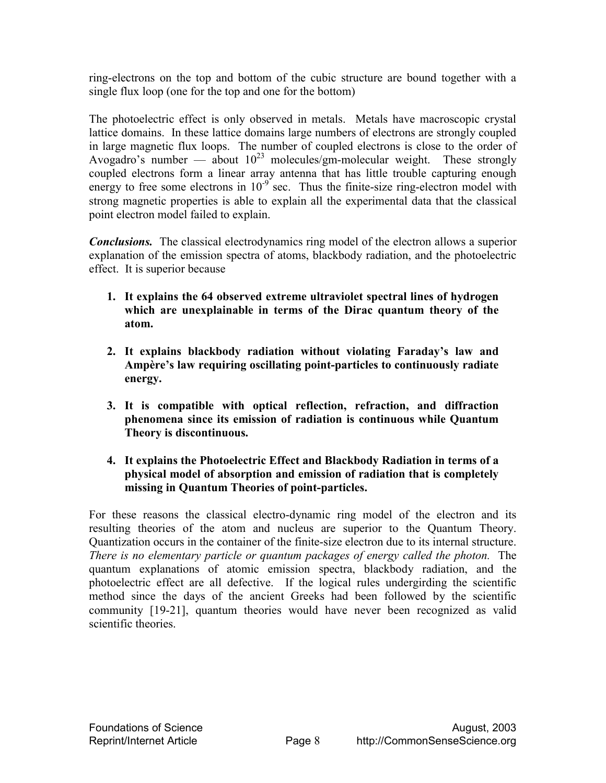ring-electrons on the top and bottom of the cubic structure are bound together with a single flux loop (one for the top and one for the bottom)

The photoelectric effect is only observed in metals. Metals have macroscopic crystal lattice domains. In these lattice domains large numbers of electrons are strongly coupled in large magnetic flux loops. The number of coupled electrons is close to the order of Avogadro's number — about  $10^{23}$  molecules/gm-molecular weight. These strongly coupled electrons form a linear array antenna that has little trouble capturing enough energy to free some electrons in  $10^{-9}$  sec. Thus the finite-size ring-electron model with strong magnetic properties is able to explain all the experimental data that the classical point electron model failed to explain.

*Conclusions.* The classical electrodynamics ring model of the electron allows a superior explanation of the emission spectra of atoms, blackbody radiation, and the photoelectric effect. It is superior because

- **1. It explains the 64 observed extreme ultraviolet spectral lines of hydrogen which are unexplainable in terms of the Dirac quantum theory of the atom.**
- **2. It explains blackbody radiation without violating Faraday's law and Ampère's law requiring oscillating point-particles to continuously radiate energy.**
- **3. It is compatible with optical reflection, refraction, and diffraction phenomena since its emission of radiation is continuous while Quantum Theory is discontinuous.**
- **4. It explains the Photoelectric Effect and Blackbody Radiation in terms of a physical model of absorption and emission of radiation that is completely missing in Quantum Theories of point-particles.**

For these reasons the classical electro-dynamic ring model of the electron and its resulting theories of the atom and nucleus are superior to the Quantum Theory. Quantization occurs in the container of the finite-size electron due to its internal structure. *There is no elementary particle or quantum packages of energy called the photon.* The quantum explanations of atomic emission spectra, blackbody radiation, and the photoelectric effect are all defective. If the logical rules undergirding the scientific method since the days of the ancient Greeks had been followed by the scientific community [19-21], quantum theories would have never been recognized as valid scientific theories.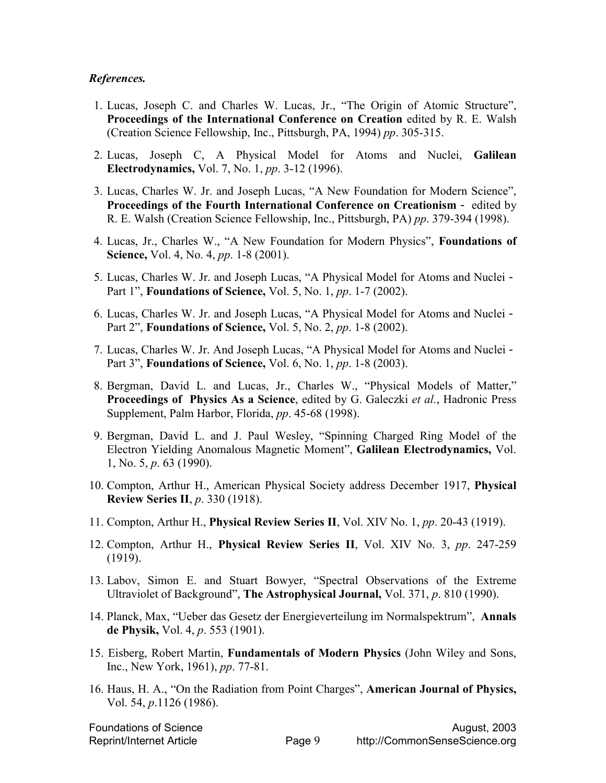#### *References.*

- 1. Lucas, Joseph C. and Charles W. Lucas, Jr., "The Origin of Atomic Structure", **Proceedings of the International Conference on Creation** edited by R. E. Walsh (Creation Science Fellowship, Inc., Pittsburgh, PA, 1994) *pp*. 305-315.
- 2. Lucas, Joseph C, A Physical Model for Atoms and Nuclei, **Galilean Electrodynamics,** Vol. 7, No. 1, *pp*. 3-12 (1996).
- 3. Lucas, Charles W. Jr. and Joseph Lucas, "A New Foundation for Modern Science", **Proceedings of the Fourth International Conference on Creationism** - edited by R. E. Walsh (Creation Science Fellowship, Inc., Pittsburgh, PA) *pp*. 379-394 (1998).
- 4. Lucas, Jr., Charles W., "A New Foundation for Modern Physics", **Foundations of Science,** Vol. 4, No. 4, *pp*. 1-8 (2001).
- 5. Lucas, Charles W. Jr. and Joseph Lucas, "A Physical Model for Atoms and Nuclei Part 1", **Foundations of Science,** Vol. 5, No. 1, *pp*. 1-7 (2002).
- 6. Lucas, Charles W. Jr. and Joseph Lucas, "A Physical Model for Atoms and Nuclei Part 2", **Foundations of Science,** Vol. 5, No. 2, *pp*. 1-8 (2002).
- 7. Lucas, Charles W. Jr. And Joseph Lucas, "A Physical Model for Atoms and Nuclei Part 3", **Foundations of Science,** Vol. 6, No. 1, *pp*. 1-8 (2003).
- 8. Bergman, David L. and Lucas, Jr., Charles W., "Physical Models of Matter," **Proceedings of Physics As a Science**, edited by G. Galeczki *et al.*, Hadronic Press Supplement, Palm Harbor, Florida, *pp*. 45-68 (1998).
- 9. Bergman, David L. and J. Paul Wesley, "Spinning Charged Ring Model of the Electron Yielding Anomalous Magnetic Moment", **Galilean Electrodynamics,** Vol. 1, No. 5, *p*. 63 (1990).
- 10. Compton, Arthur H., American Physical Society address December 1917, **Physical Review Series II**, *p*. 330 (1918).
- 11. Compton, Arthur H., **Physical Review Series II**, Vol. XIV No. 1, *pp*. 20-43 (1919).
- 12. Compton, Arthur H., **Physical Review Series II**, Vol. XIV No. 3, *pp*. 247-259 (1919).
- 13. Labov, Simon E. and Stuart Bowyer, "Spectral Observations of the Extreme Ultraviolet of Background", **The Astrophysical Journal,** Vol. 371, *p*. 810 (1990).
- 14. Planck, Max, "Ueber das Gesetz der Energieverteilung im Normalspektrum", **Annals de Physik,** Vol. 4, *p*. 553 (1901).
- 15. Eisberg, Robert Martin, **Fundamentals of Modern Physics** (John Wiley and Sons, Inc., New York, 1961), *pp*. 77-81.
- 16. Haus, H. A., "On the Radiation from Point Charges", **American Journal of Physics,**  Vol. 54, *p*.1126 (1986).